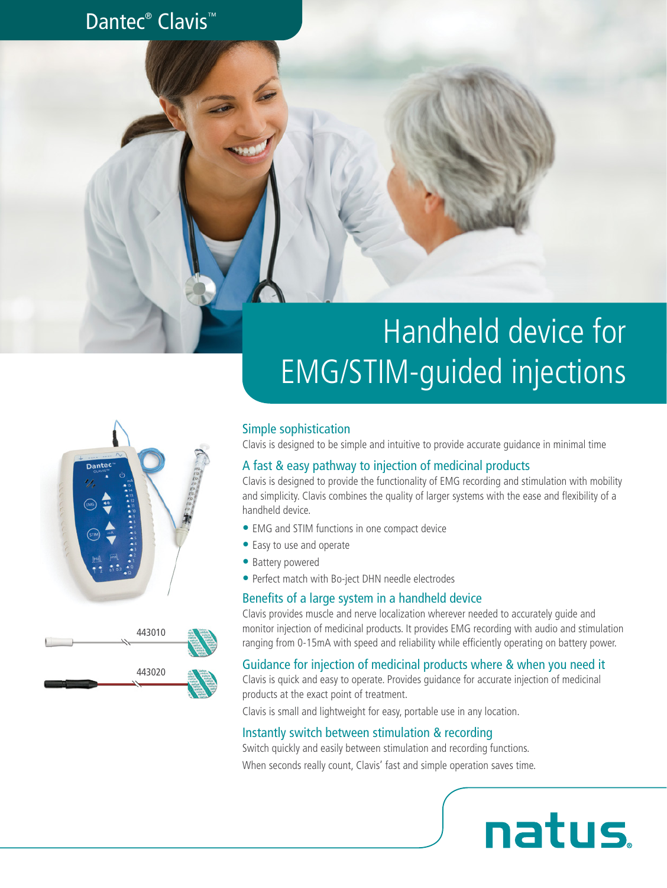### Dantec<sup>®</sup> Clavis<sup>™</sup>

# Handheld device for EMG/STIM-guided injections

#### Simple sophistication

Clavis is designed to be simple and intuitive to provide accurate guidance in minimal time

### A fast & easy pathway to injection of medicinal products

Clavis is designed to provide the functionality of EMG recording and stimulation with mobility and simplicity. Clavis combines the quality of larger systems with the ease and flexibility of a handheld device.

- EMG and STIM functions in one compact device
- Easy to use and operate
- Battery powered
- Perfect match with Bo-ject DHN needle electrodes

#### Benefits of a large system in a handheld device

Clavis provides muscle and nerve localization wherever needed to accurately guide and monitor injection of medicinal products. It provides EMG recording with audio and stimulation ranging from 0-15mA with speed and reliability while efficiently operating on battery power.

natus.

#### Guidance for injection of medicinal products where & when you need it

Clavis is quick and easy to operate. Provides guidance for accurate injection of medicinal products at the exact point of treatment.

Clavis is small and lightweight for easy, portable use in any location.

#### Instantly switch between stimulation & recording

Switch quickly and easily between stimulation and recording functions.

When seconds really count, Clavis' fast and simple operation saves time.